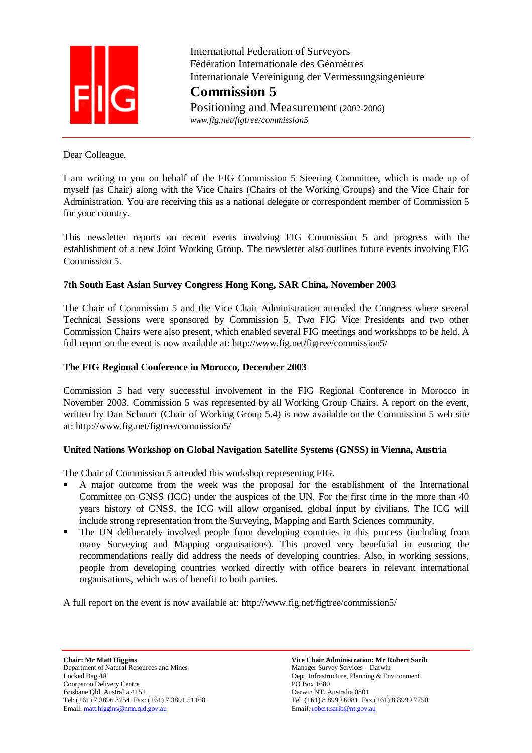

 International Federation of Surveyors Fédération Internationale des Géomètres Internationale Vereinigung der Vermessungsingenieure **Commission 5** Positioning and Measurement (2002-2006)

 *www.fig.net/figtree/commission5* 

Dear Colleague,

I am writing to you on behalf of the FIG Commission 5 Steering Committee, which is made up of myself (as Chair) along with the Vice Chairs (Chairs of the Working Groups) and the Vice Chair for Administration. You are receiving this as a national delegate or correspondent member of Commission 5 for your country.

This newsletter reports on recent events involving FIG Commission 5 and progress with the establishment of a new Joint Working Group. The newsletter also outlines future events involving FIG Commission 5.

## **7th South East Asian Survey Congress Hong Kong, SAR China, November 2003**

The Chair of Commission 5 and the Vice Chair Administration attended the Congress where several Technical Sessions were sponsored by Commission 5. Two FIG Vice Presidents and two other Commission Chairs were also present, which enabled several FIG meetings and workshops to be held. A full report on the event is now available at: http://www.fig.net/figtree/commission5/

## **The FIG Regional Conference in Morocco, December 2003**

Commission 5 had very successful involvement in the FIG Regional Conference in Morocco in November 2003. Commission 5 was represented by all Working Group Chairs. A report on the event, written by Dan Schnurr (Chair of Working Group 5.4) is now available on the Commission 5 web site at: http://www.fig.net/figtree/commission5/

### **United Nations Workshop on Global Navigation Satellite Systems (GNSS) in Vienna, Austria**

The Chair of Commission 5 attended this workshop representing FIG.

- A major outcome from the week was the proposal for the establishment of the International Committee on GNSS (ICG) under the auspices of the UN. For the first time in the more than 40 years history of GNSS, the ICG will allow organised, global input by civilians. The ICG will include strong representation from the Surveying, Mapping and Earth Sciences community.
- The UN deliberately involved people from developing countries in this process (including from many Surveying and Mapping organisations). This proved very beneficial in ensuring the recommendations really did address the needs of developing countries. Also, in working sessions, people from developing countries worked directly with office bearers in relevant international organisations, which was of benefit to both parties.

A full report on the event is now available at: http://www.fig.net/figtree/commission5/